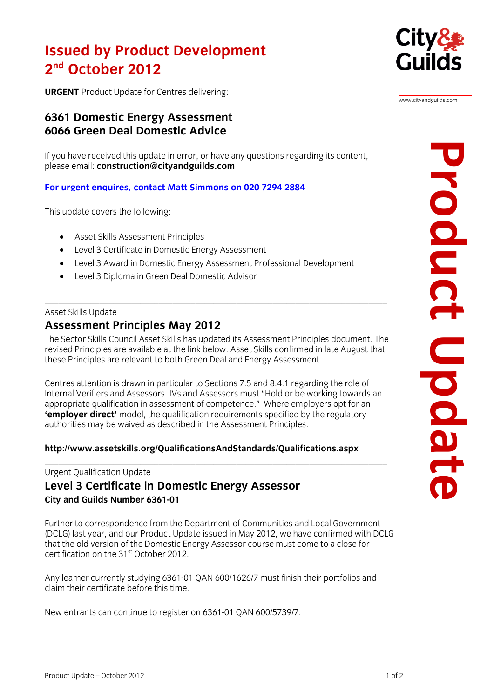# **Issued By Product Development nd October 2012**

**City& Guilds** 

www.cityandguilds.com

**2 URGENT** Product Update for Centres delivering:

## **6361 Domestic Energy Assessment 6066 Green Deal Domestic Advice**

If you have r[eceived this update in error, or](mailto:construction@cityandguilds.com) have any questions regarding its content, please email: **construction@cityandguilds.com** please email: **construction@cityandguilds.com**

### **For urgent enquires, contact Matt Simmons on 020 7294 2884**

This update covers the following:

- Asset Skills Assessment Principles
- Level 3 Certificate in Domestic Energy Assessment
- Level 3 Award in Domestic Energy Assessment Professional Development
- Level 3 Diploma in Green Deal Domestic Advisor

#### Asset Skills Update

### Assessment Principles May 2012

The Sector Skills Council Asset Skills has updated its Assessment Principles document. The revised Principles are available at the link below. Asset Skills confirmed in late August that these Principles are relevant to both Green Deal and Energy Assessment. these Principles are relevant to both Green Deal and Energy Assessment.

Centres attention is drawn in particular to Sections 7.5 and 8.4.1 regarding the role of appropriate qualification in assessment of competence." Where employers opt for an **'employer direct'** model, the qualification requirements specified by the regulatory **Employer and connects, the qualification requirements specified**, the regulatory authorities may be waived as described in the Assessment Principles.

### **<http://www.assetskills.org/QualificationsAndStandards/Qualifications.aspx>**

#### Urgent Qualification Update

#### Level 3 Certificate in Domestic Energy Assessor **Level 3 City and Guilds Number 6361-01 City and Guilds Number 6361-01**

Further to correspondence from the Department of Communities and Local Government<br>(DCLG) last year, and our Product Update issued in May 2012, we have confirmed with DCLG that the old version of the Domestic Energy Assessor course must come to a close for that the old version of the Domestic Energy Assessor course must come to a close for certification on the 31st October 2012.

Any learner currently studying 6361-01 QAN 600/1626/7 must finish their portfolios and claim their certificate before this time. claim their certificate before this time.

New entrants can continue to register on 6361-01 QAN 600/5739/7.